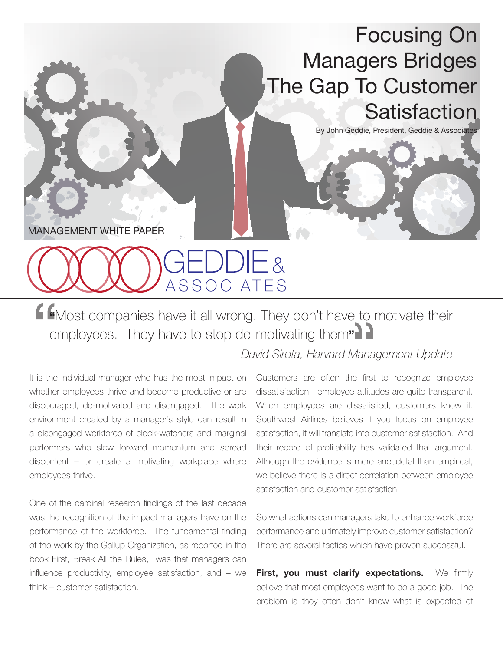## Focusing On Managers Bridges The Gap To Customer **Satisfaction**

By John Geddie, President, Geddie & Associates

MANAGEMENT WHITE PAPER

## JUIE & SSOCIATES

**"**Most companies have it all wrong. They don't have to motivate their employees. They have to stop de-motivating them**"**

 *– David Sirota, Harvard Management Update*

It is the individual manager who has the most impact on whether employees thrive and become productive or are discouraged, de-motivated and disengaged. The work environment created by a manager's style can result in a disengaged workforce of clock-watchers and marginal performers who slow forward momentum and spread discontent – or create a motivating workplace where employees thrive.

One of the cardinal research findings of the last decade was the recognition of the impact managers have on the performance of the workforce. The fundamental finding of the work by the Gallup Organization, as reported in the book First, Break All the Rules, was that managers can influence productivity, employee satisfaction, and – we think – customer satisfaction.

Customers are often the first to recognize employee dissatisfaction: employee attitudes are quite transparent. When employees are dissatisfied, customers know it. Southwest Airlines believes if you focus on employee satisfaction, it will translate into customer satisfaction. And their record of profitability has validated that argument. Although the evidence is more anecdotal than empirical, we believe there is a direct correlation between employee satisfaction and customer satisfaction.

So what actions can managers take to enhance workforce performance and ultimately improve customer satisfaction? There are several tactics which have proven successful.

**First, you must clarify expectations.** We firmly believe that most employees want to do a good job. The problem is they often don't know what is expected of